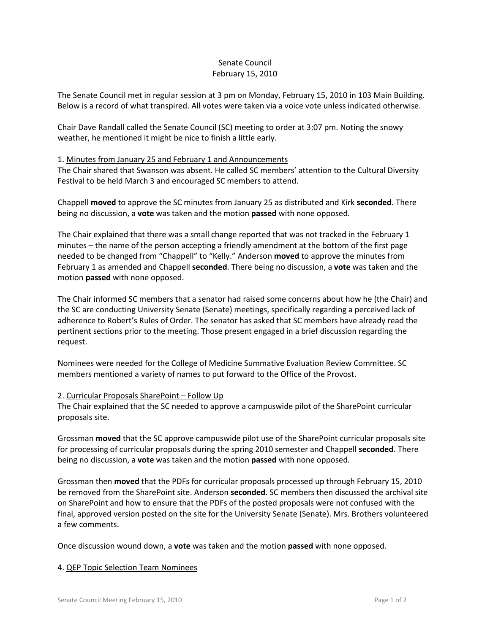# Senate Council February 15, 2010

The Senate Council met in regular session at 3 pm on Monday, February 15, 2010 in 103 Main Building. Below is a record of what transpired. All votes were taken via a voice vote unless indicated otherwise.

Chair Dave Randall called the Senate Council (SC) meeting to order at 3:07 pm. Noting the snowy weather, he mentioned it might be nice to finish a little early.

### 1. Minutes from January 25 and February 1 and Announcements

The Chair shared that Swanson was absent. He called SC members' attention to the Cultural Diversity Festival to be held March 3 and encouraged SC members to attend.

Chappell **moved** to approve the SC minutes from January 25 as distributed and Kirk **seconded**. There being no discussion, a **vote** was taken and the motion **passed** with none opposed.

The Chair explained that there was a small change reported that was not tracked in the February 1 minutes – the name of the person accepting a friendly amendment at the bottom of the first page needed to be changed from "Chappell" to "Kelly." Anderson **moved** to approve the minutes from February 1 as amended and Chappell **seconded**. There being no discussion, a **vote** was taken and the motion **passed** with none opposed.

The Chair informed SC members that a senator had raised some concerns about how he (the Chair) and the SC are conducting University Senate (Senate) meetings, specifically regarding a perceived lack of adherence to Robert's Rules of Order. The senator has asked that SC members have already read the pertinent sections prior to the meeting. Those present engaged in a brief discussion regarding the request.

Nominees were needed for the College of Medicine Summative Evaluation Review Committee. SC members mentioned a variety of names to put forward to the Office of the Provost.

#### 2. Curricular Proposals SharePoint – Follow Up

The Chair explained that the SC needed to approve a campuswide pilot of the SharePoint curricular proposals site.

Grossman **moved** that the SC approve campuswide pilot use of the SharePoint curricular proposals site for processing of curricular proposals during the spring 2010 semester and Chappell **seconded**. There being no discussion, a **vote** was taken and the motion **passed** with none opposed.

Grossman then **moved** that the PDFs for curricular proposals processed up through February 15, 2010 be removed from the SharePoint site. Anderson **seconded**. SC members then discussed the archival site on SharePoint and how to ensure that the PDFs of the posted proposals were not confused with the final, approved version posted on the site for the University Senate (Senate). Mrs. Brothers volunteered a few comments.

Once discussion wound down, a **vote** was taken and the motion **passed** with none opposed.

#### 4. QEP Topic Selection Team Nominees